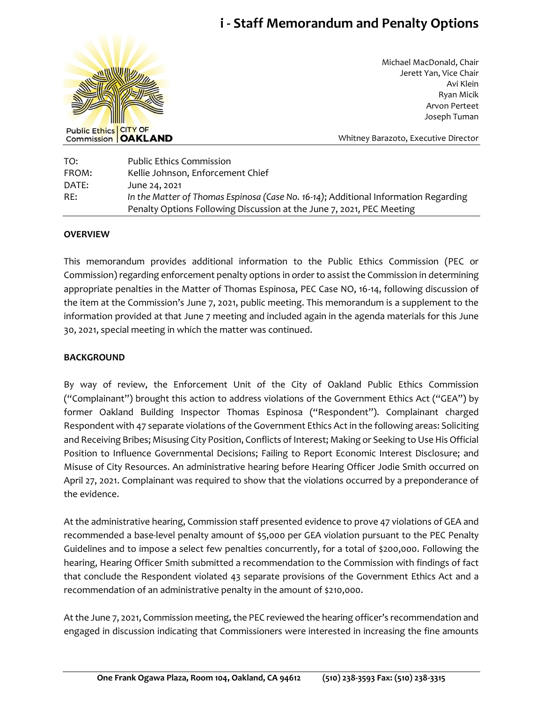# **i - Staff Memorandum and Penalty Options**



Michael MacDonald, Chair Jerett Yan, Vice Chair Avi Klein Ryan Micik Arvon Perteet Joseph Tuman

Whitney Barazoto, Executive Director

| TO:   | <b>Public Ethics Commission</b>                                                     |
|-------|-------------------------------------------------------------------------------------|
| FROM: | Kellie Johnson, Enforcement Chief                                                   |
| DATE: | June 24, 2021                                                                       |
| RE:   | In the Matter of Thomas Espinosa (Case No. 16-14); Additional Information Regarding |
|       | Penalty Options Following Discussion at the June 7, 2021, PEC Meeting               |

### **OVERVIEW**

This memorandum provides additional information to the Public Ethics Commission (PEC or Commission) regarding enforcement penalty options in order to assist the Commission in determining appropriate penalties in the Matter of Thomas Espinosa, PEC Case NO, 16-14, following discussion of the item at the Commission's June 7, 2021, public meeting. This memorandum is a supplement to the information provided at that June 7 meeting and included again in the agenda materials for this June 30, 2021, special meeting in which the matter was continued.

#### **BACKGROUND**

By way of review, the Enforcement Unit of the City of Oakland Public Ethics Commission ("Complainant") brought this action to address violations of the Government Ethics Act ("GEA") by former Oakland Building Inspector Thomas Espinosa ("Respondent"). Complainant charged Respondent with 47 separate violations of the Government Ethics Act in the following areas: Soliciting and Receiving Bribes; Misusing City Position, Conflicts of Interest; Making or Seeking to Use His Official Position to Influence Governmental Decisions; Failing to Report Economic Interest Disclosure; and Misuse of City Resources. An administrative hearing before Hearing Officer Jodie Smith occurred on April 27, 2021. Complainant was required to show that the violations occurred by a preponderance of the evidence.

At the administrative hearing, Commission staff presented evidence to prove 47 violations of GEA and recommended a base-level penalty amount of \$5,000 per GEA violation pursuant to the PEC Penalty Guidelines and to impose a select few penalties concurrently, for a total of \$200,000. Following the hearing, Hearing Officer Smith submitted a recommendation to the Commission with findings of fact that conclude the Respondent violated 43 separate provisions of the Government Ethics Act and a recommendation of an administrative penalty in the amount of \$210,000.

At the June 7, 2021, Commission meeting, the PEC reviewed the hearing officer's recommendation and engaged in discussion indicating that Commissioners were interested in increasing the fine amounts